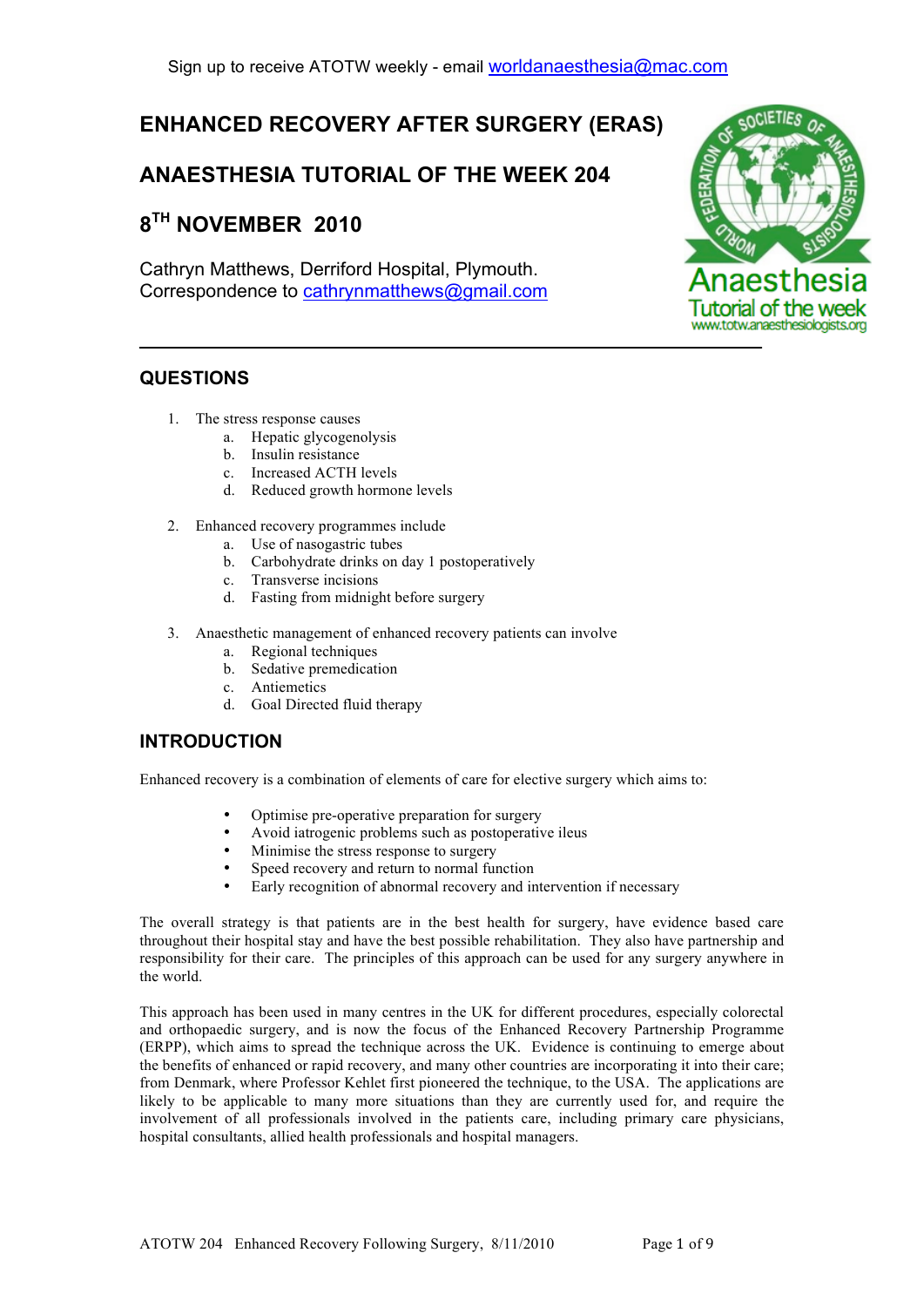# **ENHANCED RECOVERY AFTER SURGERY (ERAS)**

# **ANAESTHESIA TUTORIAL OF THE WEEK 204**

# **8TH NOVEMBER 2010**

Cathryn Matthews, Derriford Hospital, Plymouth. Correspondence to cathrynmatthews@gmail.com



# **QUESTIONS**

- 1. The stress response causes
	- a. Hepatic glycogenolysis
	- b. Insulin resistance
	- c. Increased ACTH levels
	- d. Reduced growth hormone levels
- 2. Enhanced recovery programmes include
	- a. Use of nasogastric tubes
	- b. Carbohydrate drinks on day 1 postoperatively
	- c. Transverse incisions
	- d. Fasting from midnight before surgery
- 3. Anaesthetic management of enhanced recovery patients can involve
	- a. Regional techniques
	- b. Sedative premedication
	- c. Antiemetics
	- d. Goal Directed fluid therapy

# **INTRODUCTION**

Enhanced recovery is a combination of elements of care for elective surgery which aims to:

- Optimise pre-operative preparation for surgery
- Avoid iatrogenic problems such as postoperative ileus
- Minimise the stress response to surgery
- Speed recovery and return to normal function
- Early recognition of abnormal recovery and intervention if necessary

The overall strategy is that patients are in the best health for surgery, have evidence based care throughout their hospital stay and have the best possible rehabilitation. They also have partnership and responsibility for their care. The principles of this approach can be used for any surgery anywhere in the world.

This approach has been used in many centres in the UK for different procedures, especially colorectal and orthopaedic surgery, and is now the focus of the Enhanced Recovery Partnership Programme (ERPP), which aims to spread the technique across the UK. Evidence is continuing to emerge about the benefits of enhanced or rapid recovery, and many other countries are incorporating it into their care; from Denmark, where Professor Kehlet first pioneered the technique, to the USA. The applications are likely to be applicable to many more situations than they are currently used for, and require the involvement of all professionals involved in the patients care, including primary care physicians, hospital consultants, allied health professionals and hospital managers.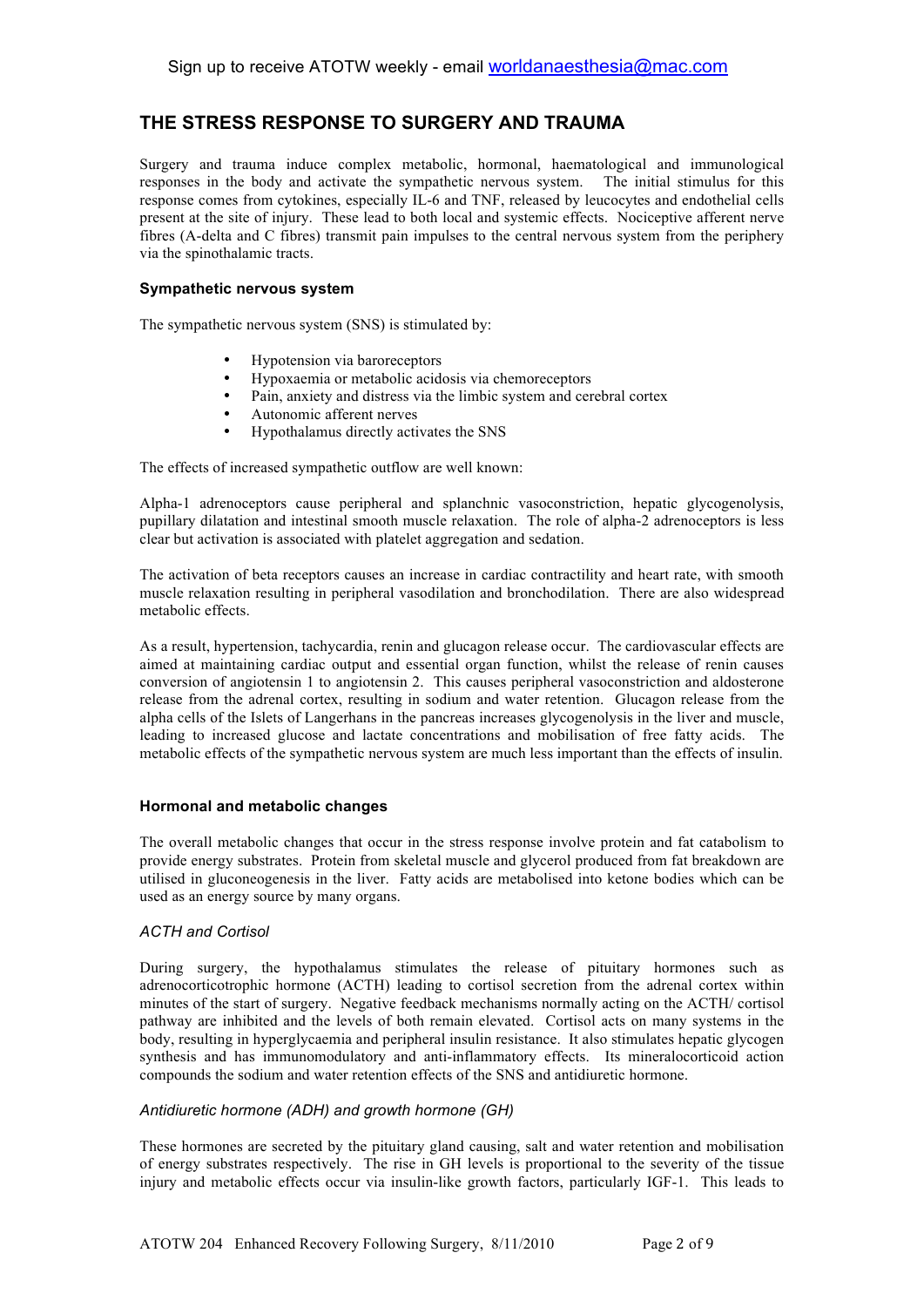## **THE STRESS RESPONSE TO SURGERY AND TRAUMA**

Surgery and trauma induce complex metabolic, hormonal, haematological and immunological responses in the body and activate the sympathetic nervous system. The initial stimulus for this response comes from cytokines, especially IL-6 and TNF, released by leucocytes and endothelial cells present at the site of injury. These lead to both local and systemic effects. Nociceptive afferent nerve fibres (A-delta and C fibres) transmit pain impulses to the central nervous system from the periphery via the spinothalamic tracts.

### **Sympathetic nervous system**

The sympathetic nervous system (SNS) is stimulated by:

- Hypotension via baroreceptors
- Hypoxaemia or metabolic acidosis via chemoreceptors
- Pain, anxiety and distress via the limbic system and cerebral cortex
- Autonomic afferent nerves
- Hypothalamus directly activates the SNS

The effects of increased sympathetic outflow are well known:

Alpha-1 adrenoceptors cause peripheral and splanchnic vasoconstriction, hepatic glycogenolysis, pupillary dilatation and intestinal smooth muscle relaxation. The role of alpha-2 adrenoceptors is less clear but activation is associated with platelet aggregation and sedation.

The activation of beta receptors causes an increase in cardiac contractility and heart rate, with smooth muscle relaxation resulting in peripheral vasodilation and bronchodilation. There are also widespread metabolic effects.

As a result, hypertension, tachycardia, renin and glucagon release occur. The cardiovascular effects are aimed at maintaining cardiac output and essential organ function, whilst the release of renin causes conversion of angiotensin 1 to angiotensin 2. This causes peripheral vasoconstriction and aldosterone release from the adrenal cortex, resulting in sodium and water retention. Glucagon release from the alpha cells of the Islets of Langerhans in the pancreas increases glycogenolysis in the liver and muscle, leading to increased glucose and lactate concentrations and mobilisation of free fatty acids. The metabolic effects of the sympathetic nervous system are much less important than the effects of insulin.

### **Hormonal and metabolic changes**

The overall metabolic changes that occur in the stress response involve protein and fat catabolism to provide energy substrates. Protein from skeletal muscle and glycerol produced from fat breakdown are utilised in gluconeogenesis in the liver. Fatty acids are metabolised into ketone bodies which can be used as an energy source by many organs.

### *ACTH and Cortisol*

During surgery, the hypothalamus stimulates the release of pituitary hormones such as adrenocorticotrophic hormone (ACTH) leading to cortisol secretion from the adrenal cortex within minutes of the start of surgery. Negative feedback mechanisms normally acting on the ACTH/ cortisol pathway are inhibited and the levels of both remain elevated. Cortisol acts on many systems in the body, resulting in hyperglycaemia and peripheral insulin resistance. It also stimulates hepatic glycogen synthesis and has immunomodulatory and anti-inflammatory effects. Its mineralocorticoid action compounds the sodium and water retention effects of the SNS and antidiuretic hormone.

### *Antidiuretic hormone (ADH) and growth hormone (GH)*

These hormones are secreted by the pituitary gland causing, salt and water retention and mobilisation of energy substrates respectively. The rise in GH levels is proportional to the severity of the tissue injury and metabolic effects occur via insulin-like growth factors, particularly IGF-1. This leads to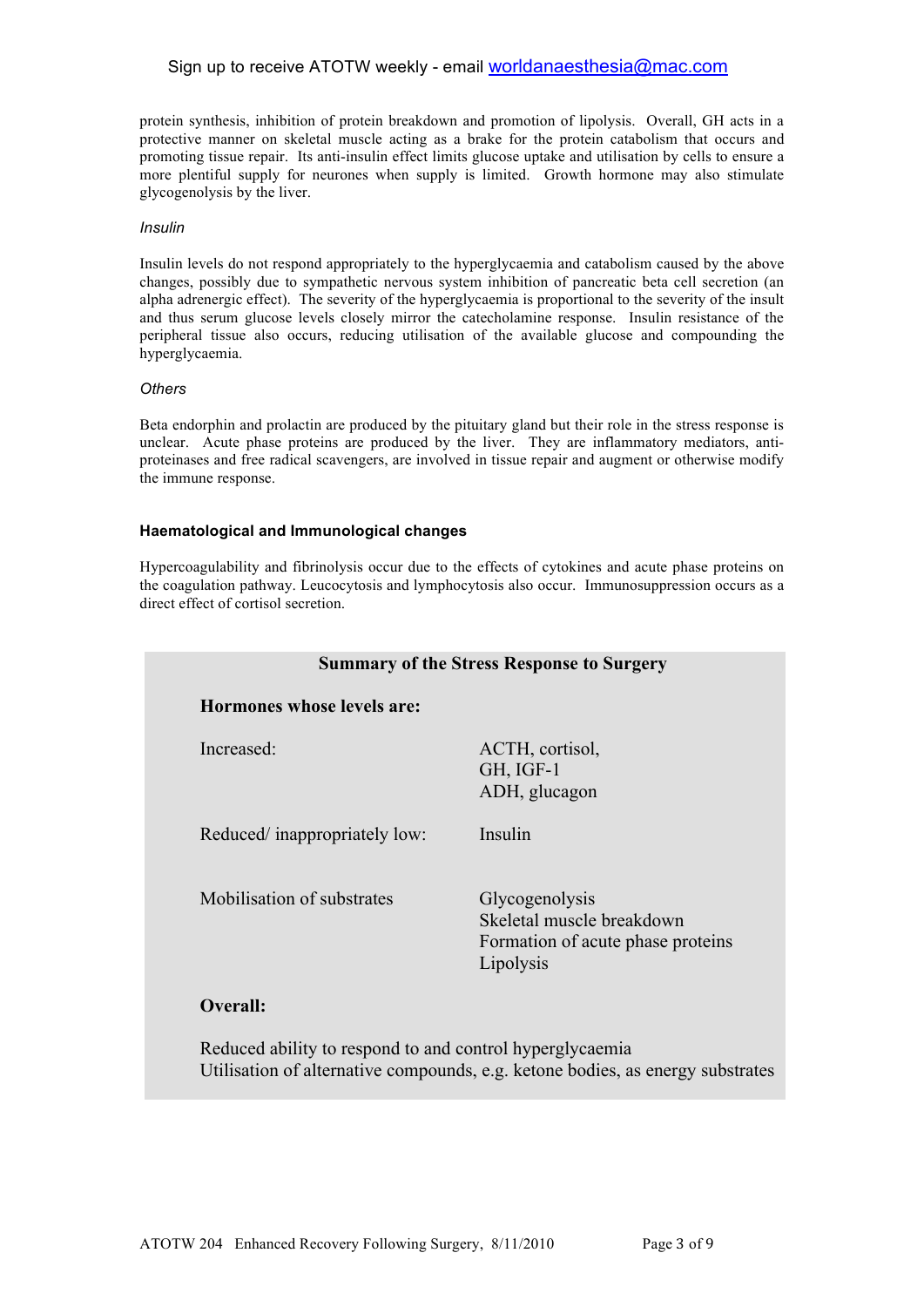### Sign up to receive ATOTW weekly - email worldanaesthesia@mac.com

protein synthesis, inhibition of protein breakdown and promotion of lipolysis. Overall, GH acts in a protective manner on skeletal muscle acting as a brake for the protein catabolism that occurs and promoting tissue repair. Its anti-insulin effect limits glucose uptake and utilisation by cells to ensure a more plentiful supply for neurones when supply is limited.Growth hormone may also stimulate glycogenolysis by the liver.

#### *Insulin*

Insulin levels do not respond appropriately to the hyperglycaemia and catabolism caused by the above changes, possibly due to sympathetic nervous system inhibition of pancreatic beta cell secretion (an alpha adrenergic effect). The severity of the hyperglycaemia is proportional to the severity of the insult and thus serum glucose levels closely mirror the catecholamine response. Insulin resistance of the peripheral tissue also occurs, reducing utilisation of the available glucose and compounding the hyperglycaemia.

#### *Others*

Beta endorphin and prolactin are produced by the pituitary gland but their role in the stress response is unclear. Acute phase proteins are produced by the liver. They are inflammatory mediators, antiproteinases and free radical scavengers, are involved in tissue repair and augment or otherwise modify the immune response.

### **Haematological and Immunological changes**

Hypercoagulability and fibrinolysis occur due to the effects of cytokines and acute phase proteins on the coagulation pathway. Leucocytosis and lymphocytosis also occur. Immunosuppression occurs as a direct effect of cortisol secretion.

| <b>Summary of the Stress Response to Surgery</b> |                                                                                               |
|--------------------------------------------------|-----------------------------------------------------------------------------------------------|
| Hormones whose levels are:                       |                                                                                               |
| Increased:                                       | ACTH, cortisol,<br>GH, IGF-1<br>ADH, glucagon                                                 |
| Reduced/inappropriately low:                     | Insulin                                                                                       |
| Mobilisation of substrates                       | Glycogenolysis<br>Skeletal muscle breakdown<br>Formation of acute phase proteins<br>Lipolysis |
| <b>Overall:</b>                                  |                                                                                               |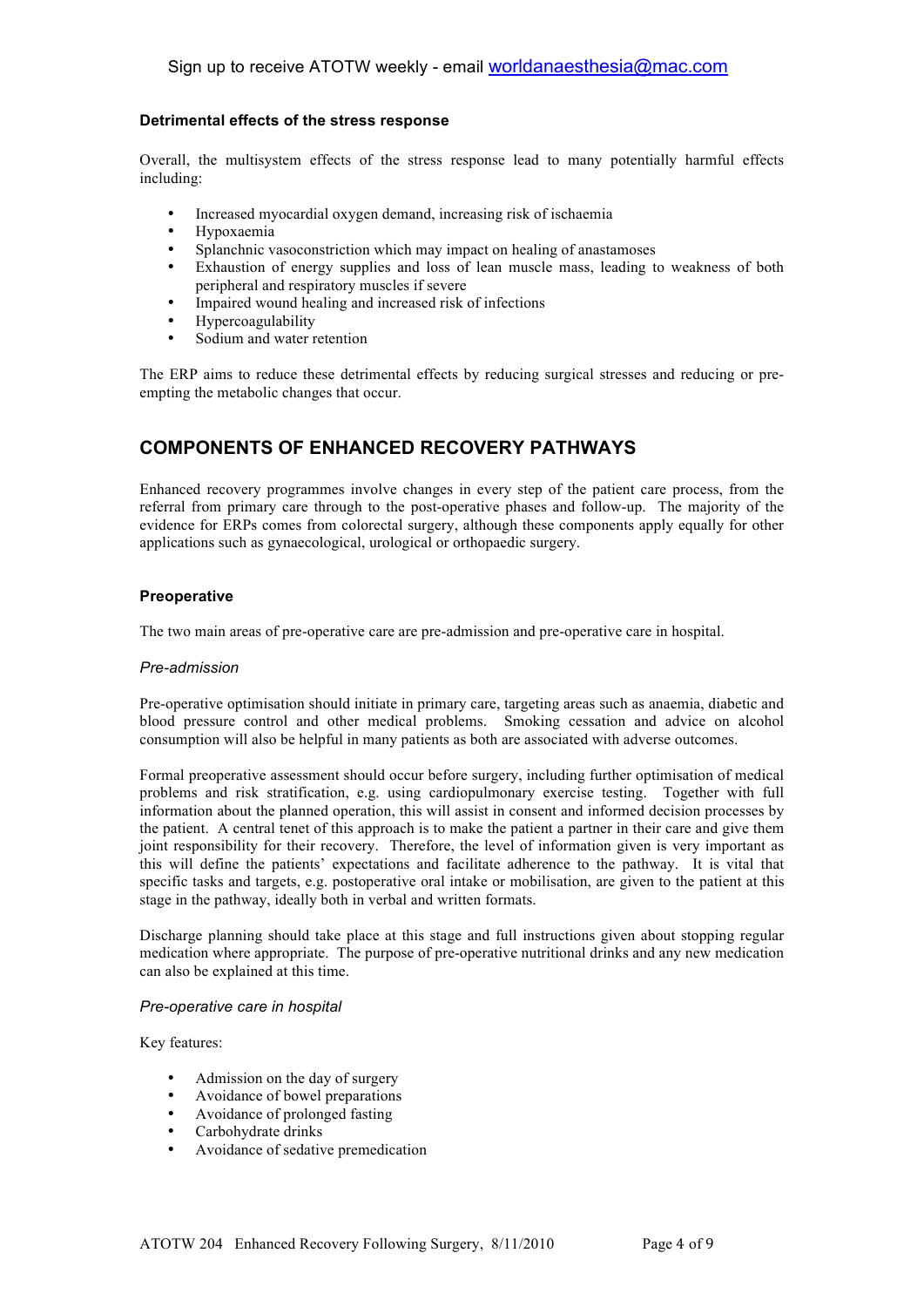### **Detrimental effects of the stress response**

Overall, the multisystem effects of the stress response lead to many potentially harmful effects including:

- Increased myocardial oxygen demand, increasing risk of ischaemia
- Hypoxaemia
- Splanchnic vasoconstriction which may impact on healing of anastamoses
- Exhaustion of energy supplies and loss of lean muscle mass, leading to weakness of both peripheral and respiratory muscles if severe
- Impaired wound healing and increased risk of infections
- Hypercoagulability
- Sodium and water retention

The ERP aims to reduce these detrimental effects by reducing surgical stresses and reducing or preempting the metabolic changes that occur.

## **COMPONENTS OF ENHANCED RECOVERY PATHWAYS**

Enhanced recovery programmes involve changes in every step of the patient care process, from the referral from primary care through to the post-operative phases and follow-up. The majority of the evidence for ERPs comes from colorectal surgery, although these components apply equally for other applications such as gynaecological, urological or orthopaedic surgery.

### **Preoperative**

The two main areas of pre-operative care are pre-admission and pre-operative care in hospital.

#### *Pre-admission*

Pre-operative optimisation should initiate in primary care, targeting areas such as anaemia, diabetic and blood pressure control and other medical problems. Smoking cessation and advice on alcohol consumption will also be helpful in many patients as both are associated with adverse outcomes.

Formal preoperative assessment should occur before surgery, including further optimisation of medical problems and risk stratification, e.g. using cardiopulmonary exercise testing. Together with full information about the planned operation, this will assist in consent and informed decision processes by the patient. A central tenet of this approach is to make the patient a partner in their care and give them joint responsibility for their recovery. Therefore, the level of information given is very important as this will define the patients' expectations and facilitate adherence to the pathway. It is vital that specific tasks and targets, e.g. postoperative oral intake or mobilisation, are given to the patient at this stage in the pathway, ideally both in verbal and written formats.

Discharge planning should take place at this stage and full instructions given about stopping regular medication where appropriate. The purpose of pre-operative nutritional drinks and any new medication can also be explained at this time.

#### *Pre-operative care in hospital*

Key features:

- Admission on the day of surgery
- Avoidance of bowel preparations
- Avoidance of prolonged fasting
- Carbohydrate drinks
- Avoidance of sedative premedication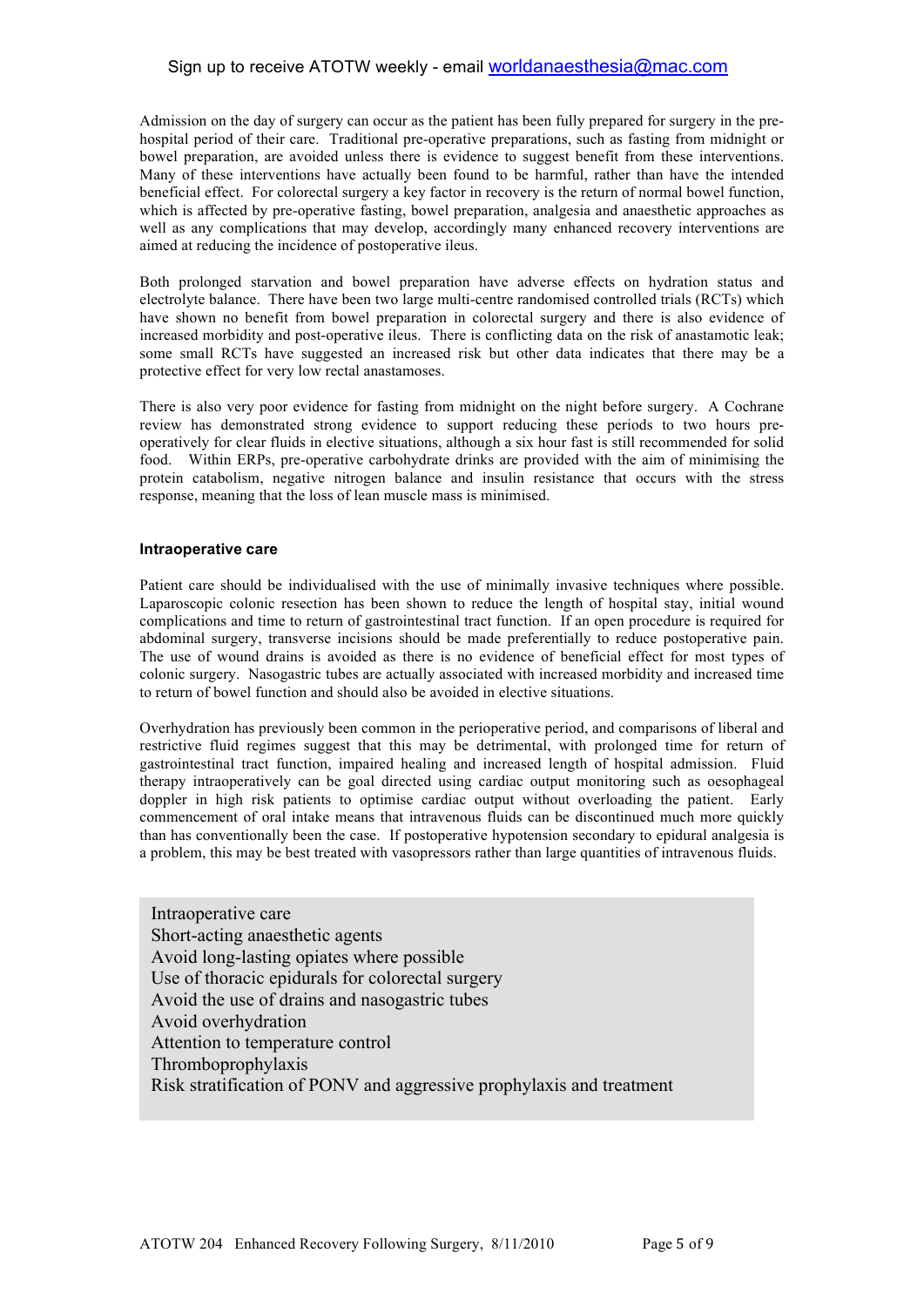### Sign up to receive ATOTW weekly - email worldanaesthesia@mac.com

Admission on the day of surgery can occur as the patient has been fully prepared for surgery in the prehospital period of their care. Traditional pre-operative preparations, such as fasting from midnight or bowel preparation, are avoided unless there is evidence to suggest benefit from these interventions. Many of these interventions have actually been found to be harmful, rather than have the intended beneficial effect. For colorectal surgery a key factor in recovery is the return of normal bowel function, which is affected by pre-operative fasting, bowel preparation, analgesia and anaesthetic approaches as well as any complications that may develop, accordingly many enhanced recovery interventions are aimed at reducing the incidence of postoperative ileus.

Both prolonged starvation and bowel preparation have adverse effects on hydration status and electrolyte balance. There have been two large multi-centre randomised controlled trials (RCTs) which have shown no benefit from bowel preparation in colorectal surgery and there is also evidence of increased morbidity and post-operative ileus. There is conflicting data on the risk of anastamotic leak; some small RCTs have suggested an increased risk but other data indicates that there may be a protective effect for very low rectal anastamoses.

There is also very poor evidence for fasting from midnight on the night before surgery. A Cochrane review has demonstrated strong evidence to support reducing these periods to two hours preoperatively for clear fluids in elective situations, although a six hour fast is still recommended for solid food. Within ERPs, pre-operative carbohydrate drinks are provided with the aim of minimising the protein catabolism, negative nitrogen balance and insulin resistance that occurs with the stress response, meaning that the loss of lean muscle mass is minimised.

#### **Intraoperative care**

Patient care should be individualised with the use of minimally invasive techniques where possible. Laparoscopic colonic resection has been shown to reduce the length of hospital stay, initial wound complications and time to return of gastrointestinal tract function. If an open procedure is required for abdominal surgery, transverse incisions should be made preferentially to reduce postoperative pain. The use of wound drains is avoided as there is no evidence of beneficial effect for most types of colonic surgery. Nasogastric tubes are actually associated with increased morbidity and increased time to return of bowel function and should also be avoided in elective situations.

Overhydration has previously been common in the perioperative period, and comparisons of liberal and restrictive fluid regimes suggest that this may be detrimental, with prolonged time for return of gastrointestinal tract function, impaired healing and increased length of hospital admission. Fluid therapy intraoperatively can be goal directed using cardiac output monitoring such as oesophageal doppler in high risk patients to optimise cardiac output without overloading the patient. Early commencement of oral intake means that intravenous fluids can be discontinued much more quickly than has conventionally been the case. If postoperative hypotension secondary to epidural analgesia is a problem, this may be best treated with vasopressors rather than large quantities of intravenous fluids.

Intraoperative care Short-acting anaesthetic agents Avoid long-lasting opiates where possible Use of thoracic epidurals for colorectal surgery Avoid the use of drains and nasogastric tubes Avoid overhydration Attention to temperature control Thromboprophylaxis Risk stratification of PONV and aggressive prophylaxis and treatment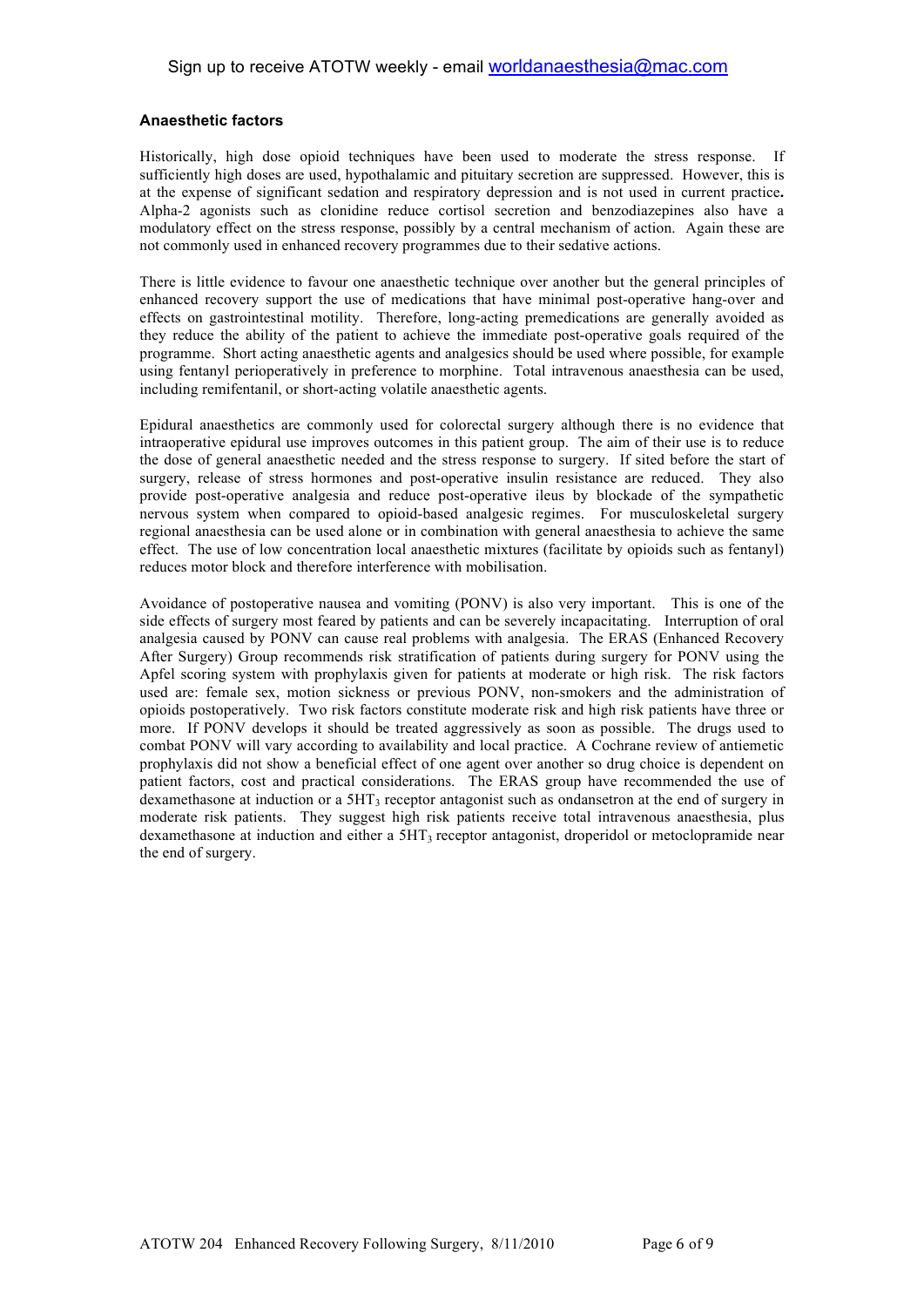### **Anaesthetic factors**

Historically, high dose opioid techniques have been used to moderate the stress response. If sufficiently high doses are used, hypothalamic and pituitary secretion are suppressed. However, this is at the expense of significant sedation and respiratory depression and is not used in current practice**.**  Alpha-2 agonists such as clonidine reduce cortisol secretion and benzodiazepines also have a modulatory effect on the stress response, possibly by a central mechanism of action. Again these are not commonly used in enhanced recovery programmes due to their sedative actions.

There is little evidence to favour one anaesthetic technique over another but the general principles of enhanced recovery support the use of medications that have minimal post-operative hang-over and effects on gastrointestinal motility. Therefore, long-acting premedications are generally avoided as they reduce the ability of the patient to achieve the immediate post-operative goals required of the programme. Short acting anaesthetic agents and analgesics should be used where possible, for example using fentanyl perioperatively in preference to morphine. Total intravenous anaesthesia can be used, including remifentanil, or short-acting volatile anaesthetic agents.

Epidural anaesthetics are commonly used for colorectal surgery although there is no evidence that intraoperative epidural use improves outcomes in this patient group. The aim of their use is to reduce the dose of general anaesthetic needed and the stress response to surgery. If sited before the start of surgery, release of stress hormones and post-operative insulin resistance are reduced. They also provide post-operative analgesia and reduce post-operative ileus by blockade of the sympathetic nervous system when compared to opioid-based analgesic regimes. For musculoskeletal surgery regional anaesthesia can be used alone or in combination with general anaesthesia to achieve the same effect. The use of low concentration local anaesthetic mixtures (facilitate by opioids such as fentanyl) reduces motor block and therefore interference with mobilisation.

Avoidance of postoperative nausea and vomiting (PONV) is also very important. This is one of the side effects of surgery most feared by patients and can be severely incapacitating. Interruption of oral analgesia caused by PONV can cause real problems with analgesia. The ERAS (Enhanced Recovery After Surgery) Group recommends risk stratification of patients during surgery for PONV using the Apfel scoring system with prophylaxis given for patients at moderate or high risk. The risk factors used are: female sex, motion sickness or previous PONV, non-smokers and the administration of opioids postoperatively. Two risk factors constitute moderate risk and high risk patients have three or more. If PONV develops it should be treated aggressively as soon as possible. The drugs used to combat PONV will vary according to availability and local practice. A Cochrane review of antiemetic prophylaxis did not show a beneficial effect of one agent over another so drug choice is dependent on patient factors, cost and practical considerations. The ERAS group have recommended the use of dexamethasone at induction or a 5HT3 receptor antagonist such as ondansetron at the end of surgery in moderate risk patients. They suggest high risk patients receive total intravenous anaesthesia, plus dexamethasone at induction and either a  $5HT_3$  receptor antagonist, droperidol or metoclopramide near the end of surgery.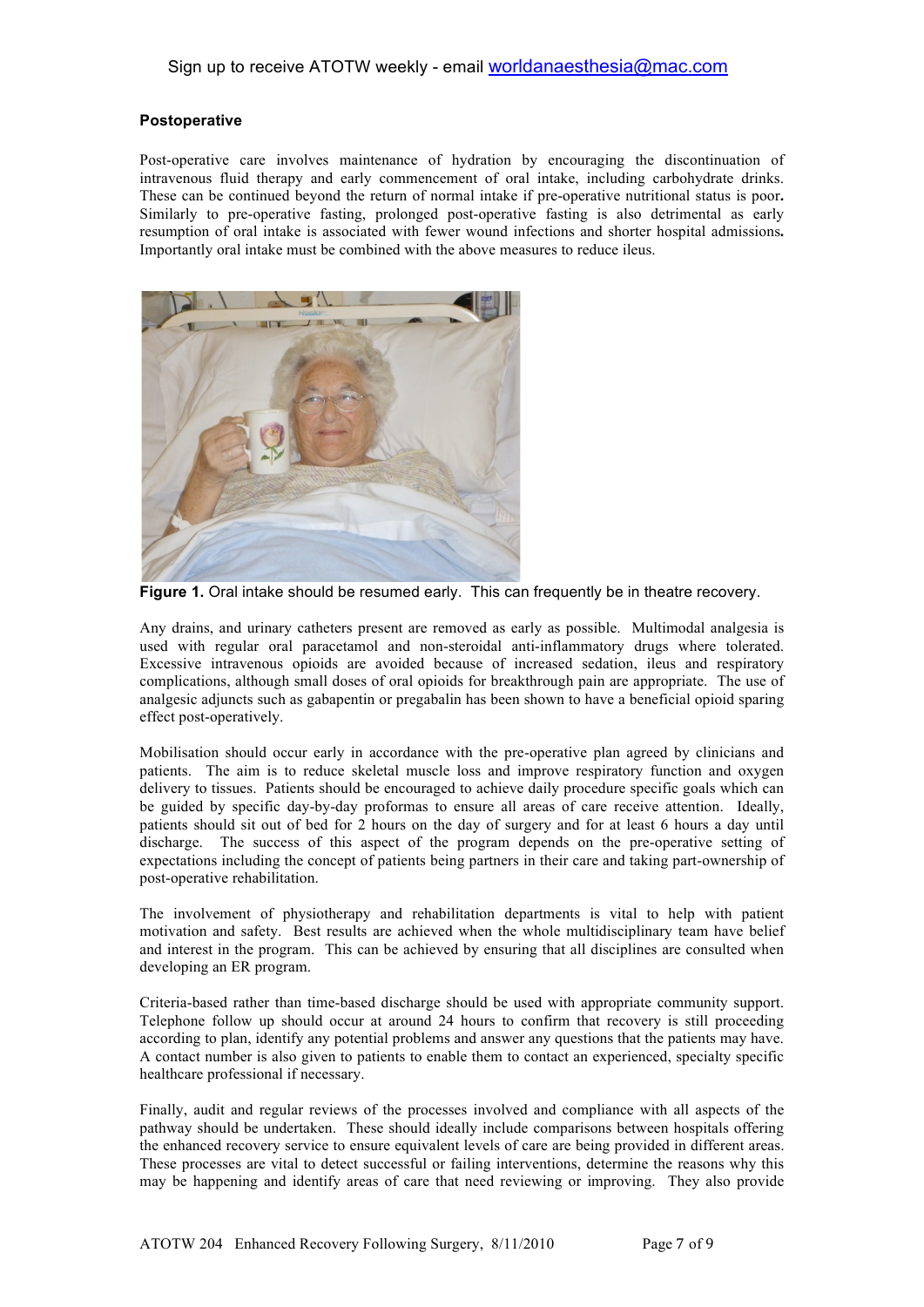### **Postoperative**

Post-operative care involves maintenance of hydration by encouraging the discontinuation of intravenous fluid therapy and early commencement of oral intake, including carbohydrate drinks. These can be continued beyond the return of normal intake if pre-operative nutritional status is poor**.**  Similarly to pre-operative fasting, prolonged post-operative fasting is also detrimental as early resumption of oral intake is associated with fewer wound infections and shorter hospital admissions**.**  Importantly oral intake must be combined with the above measures to reduce ileus.



**Figure 1.** Oral intake should be resumed early. This can frequently be in theatre recovery.

Any drains, and urinary catheters present are removed as early as possible. Multimodal analgesia is used with regular oral paracetamol and non-steroidal anti-inflammatory drugs where tolerated. Excessive intravenous opioids are avoided because of increased sedation, ileus and respiratory complications, although small doses of oral opioids for breakthrough pain are appropriate. The use of analgesic adjuncts such as gabapentin or pregabalin has been shown to have a beneficial opioid sparing effect post-operatively.

Mobilisation should occur early in accordance with the pre-operative plan agreed by clinicians and patients. The aim is to reduce skeletal muscle loss and improve respiratory function and oxygen delivery to tissues. Patients should be encouraged to achieve daily procedure specific goals which can be guided by specific day-by-day proformas to ensure all areas of care receive attention. Ideally, patients should sit out of bed for 2 hours on the day of surgery and for at least 6 hours a day until discharge. The success of this aspect of the program depends on the pre-operative setting of expectations including the concept of patients being partners in their care and taking part-ownership of post-operative rehabilitation.

The involvement of physiotherapy and rehabilitation departments is vital to help with patient motivation and safety. Best results are achieved when the whole multidisciplinary team have belief and interest in the program. This can be achieved by ensuring that all disciplines are consulted when developing an ER program.

Criteria-based rather than time-based discharge should be used with appropriate community support. Telephone follow up should occur at around 24 hours to confirm that recovery is still proceeding according to plan, identify any potential problems and answer any questions that the patients may have. A contact number is also given to patients to enable them to contact an experienced, specialty specific healthcare professional if necessary.

Finally, audit and regular reviews of the processes involved and compliance with all aspects of the pathway should be undertaken. These should ideally include comparisons between hospitals offering the enhanced recovery service to ensure equivalent levels of care are being provided in different areas. These processes are vital to detect successful or failing interventions, determine the reasons why this may be happening and identify areas of care that need reviewing or improving. They also provide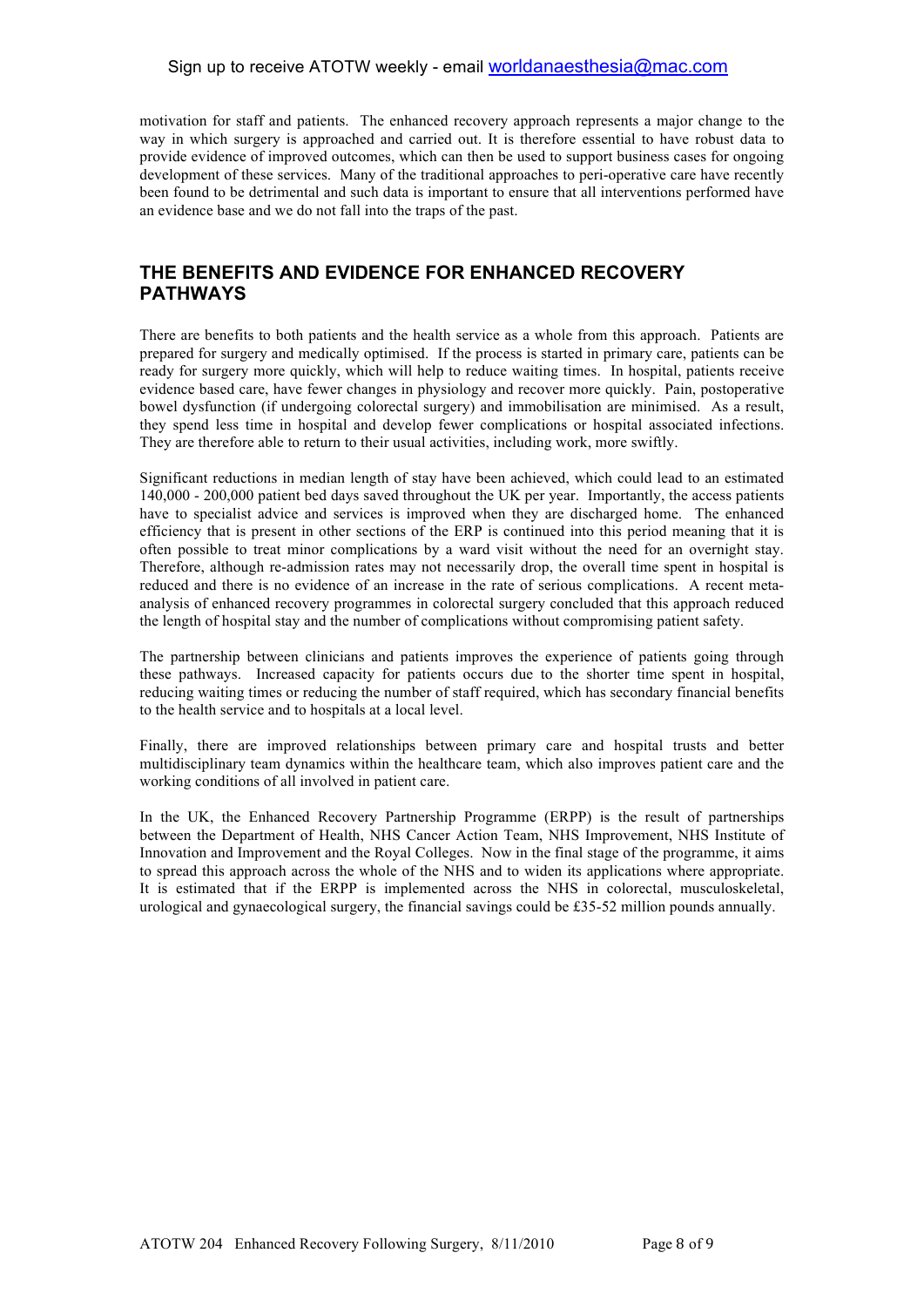### Sign up to receive ATOTW weekly - email worldanaesthesia@mac.com

motivation for staff and patients. The enhanced recovery approach represents a major change to the way in which surgery is approached and carried out. It is therefore essential to have robust data to provide evidence of improved outcomes, which can then be used to support business cases for ongoing development of these services. Many of the traditional approaches to peri-operative care have recently been found to be detrimental and such data is important to ensure that all interventions performed have an evidence base and we do not fall into the traps of the past.

### **THE BENEFITS AND EVIDENCE FOR ENHANCED RECOVERY PATHWAYS**

There are benefits to both patients and the health service as a whole from this approach. Patients are prepared for surgery and medically optimised. If the process is started in primary care, patients can be ready for surgery more quickly, which will help to reduce waiting times. In hospital, patients receive evidence based care, have fewer changes in physiology and recover more quickly. Pain, postoperative bowel dysfunction (if undergoing colorectal surgery) and immobilisation are minimised. As a result, they spend less time in hospital and develop fewer complications or hospital associated infections. They are therefore able to return to their usual activities, including work, more swiftly.

Significant reductions in median length of stay have been achieved, which could lead to an estimated 140,000 - 200,000 patient bed days saved throughout the UK per year. Importantly, the access patients have to specialist advice and services is improved when they are discharged home. The enhanced efficiency that is present in other sections of the ERP is continued into this period meaning that it is often possible to treat minor complications by a ward visit without the need for an overnight stay. Therefore, although re-admission rates may not necessarily drop, the overall time spent in hospital is reduced and there is no evidence of an increase in the rate of serious complications. A recent metaanalysis of enhanced recovery programmes in colorectal surgery concluded that this approach reduced the length of hospital stay and the number of complications without compromising patient safety.

The partnership between clinicians and patients improves the experience of patients going through these pathways. Increased capacity for patients occurs due to the shorter time spent in hospital, reducing waiting times or reducing the number of staff required, which has secondary financial benefits to the health service and to hospitals at a local level.

Finally, there are improved relationships between primary care and hospital trusts and better multidisciplinary team dynamics within the healthcare team, which also improves patient care and the working conditions of all involved in patient care.

In the UK, the Enhanced Recovery Partnership Programme (ERPP) is the result of partnerships between the Department of Health, NHS Cancer Action Team, NHS Improvement, NHS Institute of Innovation and Improvement and the Royal Colleges. Now in the final stage of the programme, it aims to spread this approach across the whole of the NHS and to widen its applications where appropriate. It is estimated that if the ERPP is implemented across the NHS in colorectal, musculoskeletal, urological and gynaecological surgery, the financial savings could be £35-52 million pounds annually.